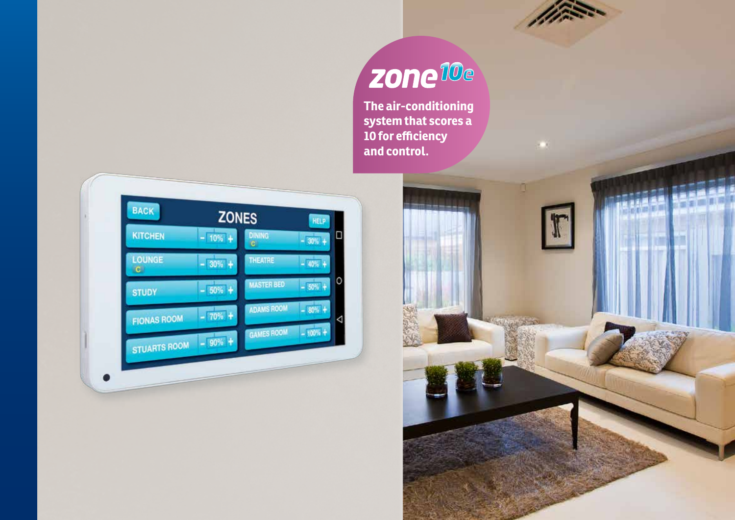# zone<sup>10e</sup>

**The air-conditioning system that scores a 10 for efficiency and control.** 





n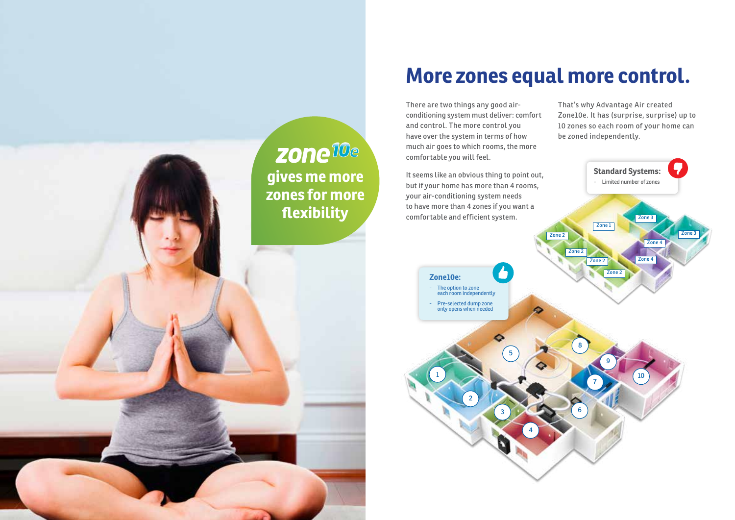

## **More zones equal more control.**

That's why Advantage Air created Zone10e. It has (surprise, surprise) up to 10 zones so each room of your home can be zoned independently.

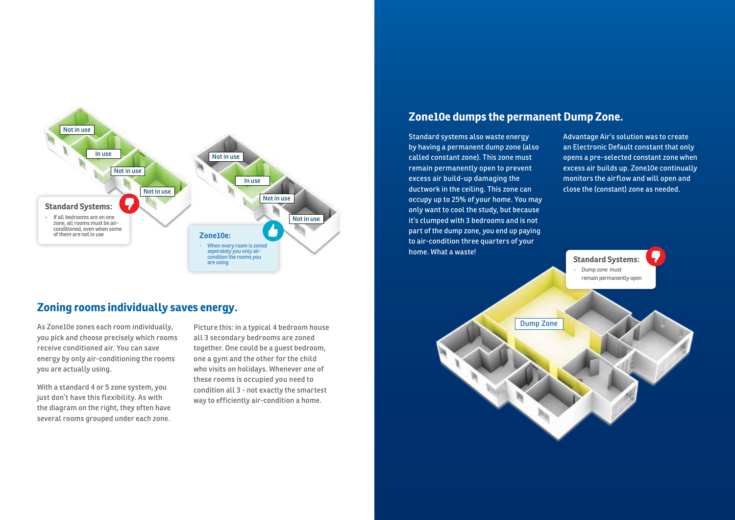

## **Zoning rooms individually saves energy.**

As Zone10e zones each room individually, you pick and choose precisely which rooms receive conditioned air. You can save energy by only air-conditioning the rooms you are actually using.

With a standard 4 or 5 zone system, you just don't have this flexibility. As with the diagram on the right, they often have several rooms grouped under each zone.

Picture this: in a typical 4 bedroom house all 3 secondary bedrooms are zoned together. One could be a guest bedroom, one a gym and the other for the child who visits on holidays. Whenever one of these rooms is occupied you need to condition all 3 - not exactly the smartest way to efficiently air-condition a home.

### **Zone10e dumps the permanent Dump Zone.**

Dump Zone

Standard systems also waste energy by having a permanent dump zone (also called constant zone). This zone must remain permanently open to prevent excess air build-up damaging the ductwork in the ceiling. This zone can occupy up to 25% of your home. You may only want to cool the study, but because it's clumped with 3 bedrooms and is not part of the dump zone, you end up paying to air-condition three quarters of your home. What a waste!

Advantage Air's solution was to create an Electronic Default constant that only opens a pre-selected constant zone when excess air builds up. Zone10e continually monitors the airflow and will open and close the (constant) zone as needed.

**Standard Systems:** - Dump zone must remain permanently open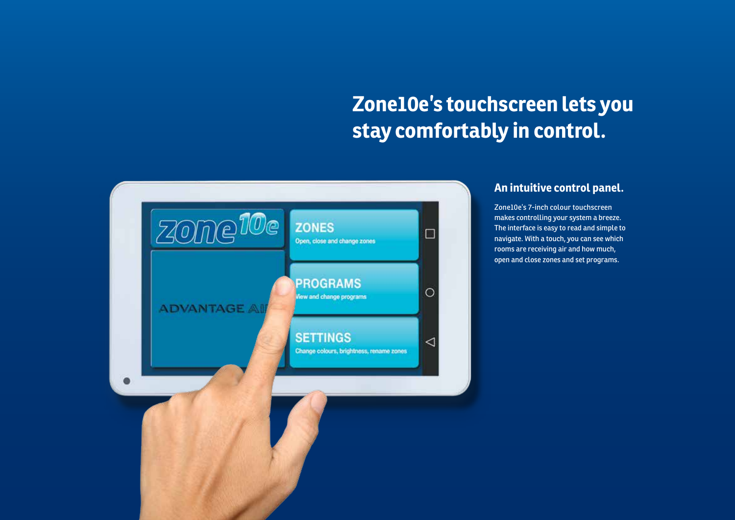## **Zone10e's touchscreen lets you stay comfortably in control.**



## **An intuitive control panel.**

Zone10e's 7-inch colour touchscreen makes controlling your system a breeze. The interface is easy to read and simple to navigate. With a touch, you can see which rooms are receiving air and how much, open and close zones and set programs.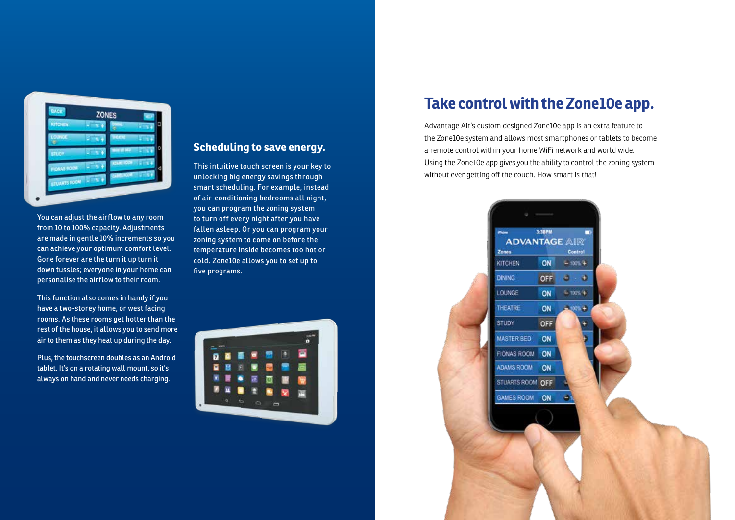

You can adjust the airflow to any room from 10 to 100% capacity. Adjustments are made in gentle 10% increments so you can achieve your optimum comfort level. Gone forever are the turn it up turn it down tussles; everyone in your home can personalise the airflow to their room.

This function also comes in handy if you have a two-storey home, or west facing rooms. As these rooms get hotter than the rest of the house, it allows you to send more air to them as they heat up during the day.

Plus, the touchscreen doubles as an Android tablet. It's on a rotating wall mount, so it's always on hand and never needs charging.

## **Scheduling to save energy.**

This intuitive touch screen is your key to unlocking big energy savings through smart scheduling. For example, instead of air-conditioning bedrooms all night, you can program the zoning system to turn off every night after you have fallen asleep. Or you can program your zoning system to come on before the temperature inside becomes too hot or cold. Zone10e allows you to set up to five programs.



## **Take control with the Zone10e app.**

Advantage Air's custom designed Zone10e app is an extra feature to the Zone10e system and allows most smartphones or tablets to become a remote control within your home WiFi network and world wide. Using the Zone10e app gives you the ability to control the zoning system without ever getting off the couch. How smart is that!

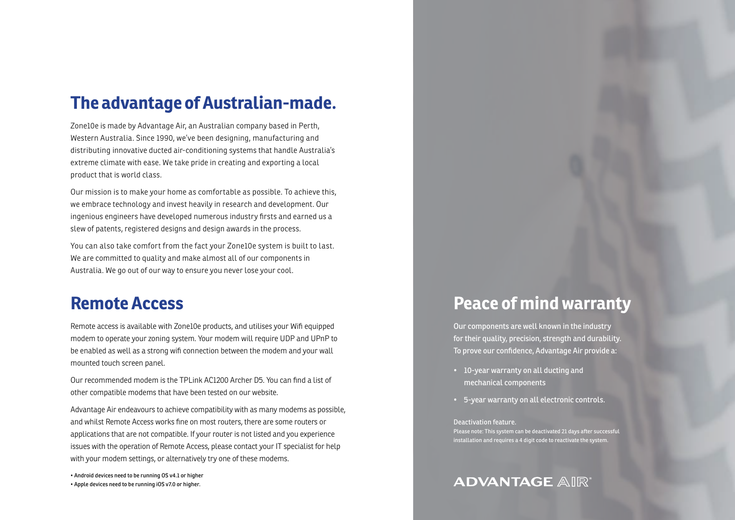## **The advantage of Australian-made.**

Zone10e is made by Advantage Air, an Australian company based in Perth, Western Australia. Since 1990, we've been designing, manufacturing and distributing innovative ducted air-conditioning systems that handle Australia's extreme climate with ease. We take pride in creating and exporting a local product that is world class.

Our mission is to make your home as comfortable as possible. To achieve this, we embrace technology and invest heavily in research and development. Our ingenious engineers have developed numerous industry firsts and earned us a slew of patents, registered designs and design awards in the process.

You can also take comfort from the fact your Zone10e system is built to last. We are committed to quality and make almost all of our components in Australia. We go out of our way to ensure you never lose your cool.

## **Remote Access**

Remote access is available with Zone10e products, and utilises your Wifi equipped modem to operate your zoning system. Your modem will require UDP and UPnP to be enabled as well as a strong wifi connection between the modem and your wall mounted touch screen panel.

Our recommended modem is the TPLink AC1200 Archer D5. You can find a list of other compatible modems that have been tested on our website.

Advantage Air endeavours to achieve compatibility with as many modems as possible, and whilst Remote Access works fine on most routers, there are some routers or applications that are not compatible. If your router is not listed and you experience issues with the operation of Remote Access, please contact your IT specialist for help with your modem settings, or alternatively try one of these modems.

• Android devices need to be running OS v4.1 or higher • Apple devices need to be running iOS v7.0 or higher.

## **Peace of mind warranty**

Our components are well known in the industry for their quality, precision, strength and durability. To prove our confidence, Advantage Air provide a:

- 10-year warranty on all ducting and mechanical components
- 5-year warranty on all electronic controls.

Deactivation feature. Please note: This system can be deactivated 21 days after successful installation and requires a 4 digit code to reactivate the system.

**ADVANTAGE AIR®**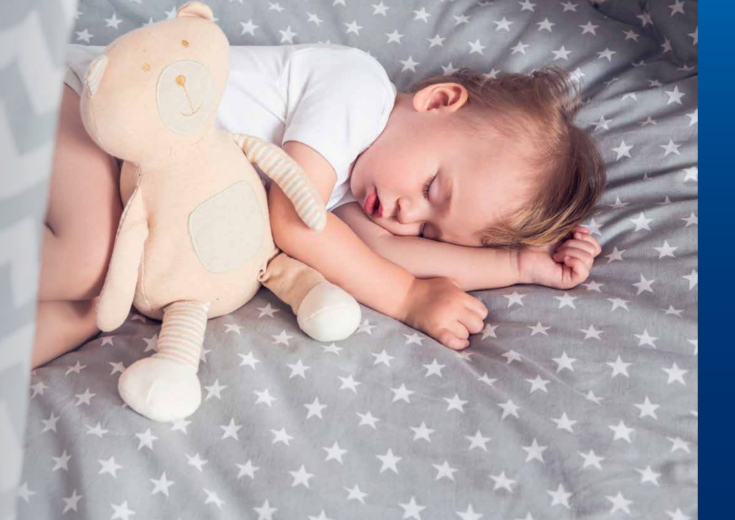